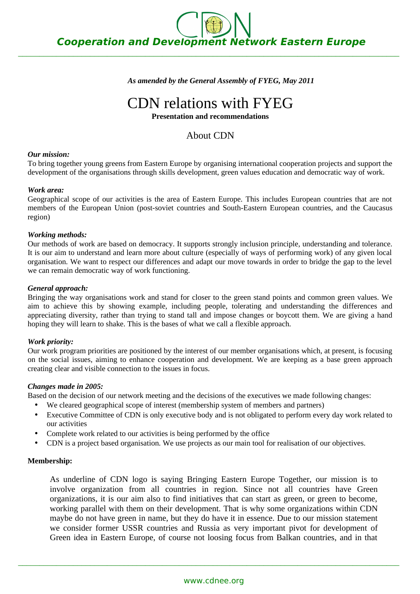$\_$  , and the set of the set of the set of the set of the set of the set of the set of the set of the set of the set of the set of the set of the set of the set of the set of the set of the set of the set of the set of th

*As amended by the General Assembly of FYEG, May 2011*

# CDN relations with FYEG

#### **Presentation and recommendations**

# About CDN

## *Our mission:*

To bring together young greens from Eastern Europe by organising international cooperation projects and support the development of the organisations through skills development, green values education and democratic way of work.

## *Work area:*

Geographical scope of our activities is the area of Eastern Europe. This includes European countries that are not members of the European Union (post-soviet countries and South-Eastern European countries, and the Caucasus region)

## *Working methods:*

Our methods of work are based on democracy. It supports strongly inclusion principle, understanding and tolerance. It is our aim to understand and learn more about culture (especially of ways of performing work) of any given local organisation. We want to respect our differences and adapt our move towards in order to bridge the gap to the level we can remain democratic way of work functioning.

## *General approach:*

Bringing the way organisations work and stand for closer to the green stand points and common green values. We aim to achieve this by showing example, including people, tolerating and understanding the differences and appreciating diversity, rather than trying to stand tall and impose changes or boycott them. We are giving a hand hoping they will learn to shake. This is the bases of what we call a flexible approach.

#### *Work priority:*

Our work program priorities are positioned by the interest of our member organisations which, at present, is focusing on the social issues, aiming to enhance cooperation and development. We are keeping as a base green approach creating clear and visible connection to the issues in focus.

#### *Changes made in 2005:*

Based on the decision of our network meeting and the decisions of the executives we made following changes:

- We cleared geographical scope of interest (membership system of members and partners)
- Executive Committee of CDN is only executive body and is not obligated to perform every day work related to our activities
- Complete work related to our activities is being performed by the office
- CDN is a project based organisation. We use projects as our main tool for realisation of our objectives.

#### **Membership:**

As underline of CDN logo is saying Bringing Eastern Europe Together, our mission is to involve organization from all countries in region. Since not all countries have Green organizations, it is our aim also to find initiatives that can start as green, or green to become, working parallel with them on their development. That is why some organizations within CDN maybe do not have green in name, but they do have it in essence. Due to our mission statement we consider former USSR countries and Russia as very important pivot for development of Green idea in Eastern Europe, of course not loosing focus from Balkan countries, and in that

 $\_$  , and the set of the set of the set of the set of the set of the set of the set of the set of the set of the set of the set of the set of the set of the set of the set of the set of the set of the set of the set of th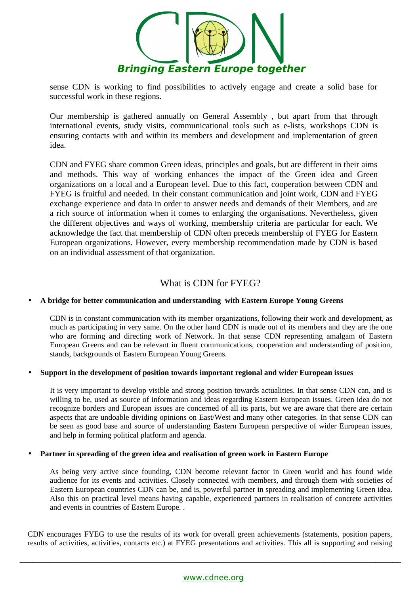

sense CDN is working to find possibilities to actively engage and create a solid base for successful work in these regions.

Our membership is gathered annually on General Assembly , but apart from that through international events, study visits, communicational tools such as e-lists, workshops CDN is ensuring contacts with and within its members and development and implementation of green idea.

CDN and FYEG share common Green ideas, principles and goals, but are different in their aims and methods. This way of working enhances the impact of the Green idea and Green organizations on a local and a European level. Due to this fact, cooperation between CDN and FYEG is fruitful and needed. In their constant communication and joint work, CDN and FYEG exchange experience and data in order to answer needs and demands of their Members, and are a rich source of information when it comes to enlarging the organisations. Nevertheless, given the different objectives and ways of working, membership criteria are particular for each. We acknowledge the fact that membership of CDN often preceds membership of FYEG for Eastern European organizations. However, every membership recommendation made by CDN is based on an individual assessment of that organization.

# What is CDN for FYEG?

# • **A bridge for better communication and understanding with Eastern Europe Young Greens**

CDN is in constant communication with its member organizations, following their work and development, as much as participating in very same. On the other hand CDN is made out of its members and they are the one who are forming and directing work of Network. In that sense CDN representing amalgam of Eastern European Greens and can be relevant in fluent communications, cooperation and understanding of position, stands, backgrounds of Eastern European Young Greens.

#### • **Support in the development of position towards important regional and wider European issues**

It is very important to develop visible and strong position towards actualities. In that sense CDN can, and is willing to be, used as source of information and ideas regarding Eastern European issues. Green idea do not recognize borders and European issues are concerned of all its parts, but we are aware that there are certain aspects that are undoable dividing opinions on East/West and many other categories. In that sense CDN can be seen as good base and source of understanding Eastern European perspective of wider European issues, and help in forming political platform and agenda.

#### • **Partner in spreading of the green idea and realisation of green work in Eastern Europe**

As being very active since founding, CDN become relevant factor in Green world and has found wide audience for its events and activities. Closely connected with members, and through them with societies of Eastern European countries CDN can be, and is, powerful partner in spreading and implementing Green idea. Also this on practical level means having capable, experienced partners in realisation of concrete activities and events in countries of Eastern Europe. .

CDN encourages FYEG to use the results of its work for overall green achievements (statements, position papers, results of activities, activities, contacts etc.) at FYEG presentations and activities. This all is supporting and raising

 $\_$  . The contribution of the contribution of the contribution of the contribution of the contribution of the contribution of the contribution of the contribution of the contribution of the contribution of the contributio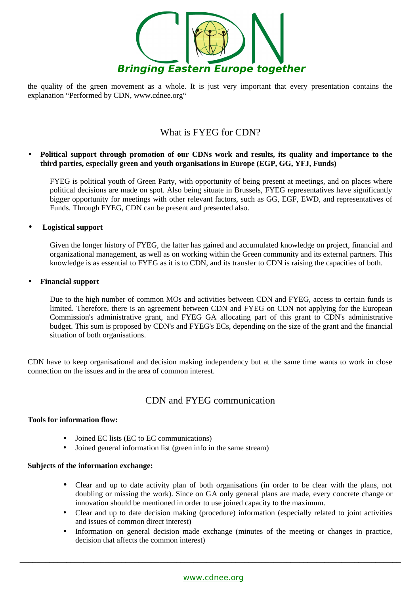

the quality of the green movement as a whole. It is just very important that every presentation contains the explanation "Performed by CDN, www.cdnee.org"

# What is FYEG for CDN?

## • **Political support through promotion of our CDNs work and results, its quality and importance to the third parties, especially green and youth organisations in Europe (EGP, GG, YFJ, Funds)**

FYEG is political youth of Green Party, with opportunity of being present at meetings, and on places where political decisions are made on spot. Also being situate in Brussels, FYEG representatives have significantly bigger opportunity for meetings with other relevant factors, such as GG, EGF, EWD, and representatives of Funds. Through FYEG, CDN can be present and presented also.

• **Logistical support** 

Given the longer history of FYEG, the latter has gained and accumulated knowledge on project, financial and organizational management, as well as on working within the Green community and its external partners. This knowledge is as essential to FYEG as it is to CDN, and its transfer to CDN is raising the capacities of both.

• **Financial support**

Due to the high number of common MOs and activities between CDN and FYEG, access to certain funds is limited. Therefore, there is an agreement between CDN and FYEG on CDN not applying for the European Commission's administrative grant, and FYEG GA allocating part of this grant to CDN's administrative budget. This sum is proposed by CDN's and FYEG's ECs, depending on the size of the grant and the financial situation of both organisations.

CDN have to keep organisational and decision making independency but at the same time wants to work in close connection on the issues and in the area of common interest.

# CDN and FYEG communication

#### **Tools for information flow:**

- Joined EC lists (EC to EC communications)
- Joined general information list (green info in the same stream)

#### **Subjects of the information exchange:**

- Clear and up to date activity plan of both organisations (in order to be clear with the plans, not doubling or missing the work). Since on GA only general plans are made, every concrete change or innovation should be mentioned in order to use joined capacity to the maximum.
- Clear and up to date decision making (procedure) information (especially related to joint activities and issues of common direct interest)
- Information on general decision made exchange (minutes of the meeting or changes in practice, decision that affects the common interest)

 $\_$  . The contribution of the contribution of the contribution of the contribution of the contribution of the contribution of the contribution of the contribution of the contribution of the contribution of the contributio